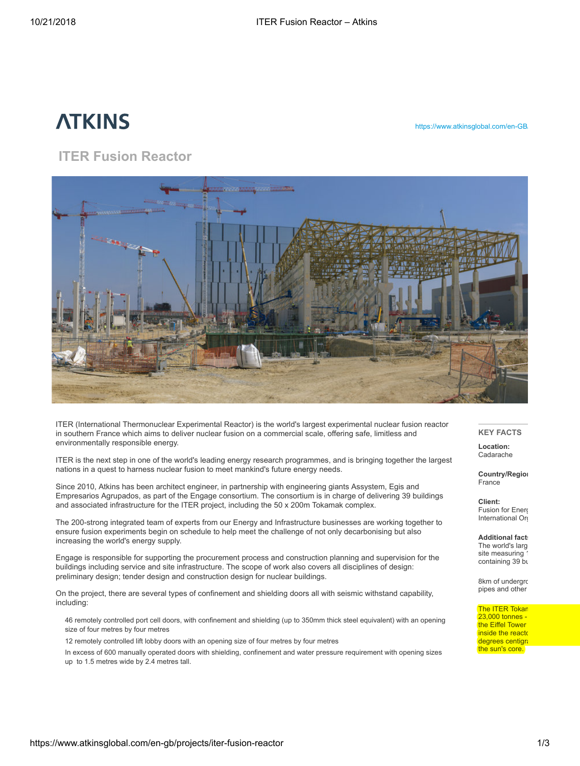# **ATKINS**

https://www.atkinsglobal.com/en-GB

# ITER Fusion Reactor



ITER (International Thermonuclear Experimental Reactor) is the world's largest experimental nuclear fusion reactor in southern France which aims to deliver nuclear fusion on a commercial scale, offering safe, limitless and environmentally responsible energy.

ITER is the next step in one of the world's leading energy research programmes, and is bringing together the largest nations in a quest to harness nuclear fusion to meet mankind's future energy needs.

Since 2010, Atkins has been architect engineer, in partnership with engineering giants Assystem, Egis and Empresarios Agrupados, as part of the Engage consortium. The consortium is in charge of delivering 39 buildings and associated infrastructure for the ITER project, including the 50 x 200m Tokamak complex.

The 200-strong integrated team of experts from our Energy and Infrastructure businesses are working together to ensure fusion experiments begin on schedule to help meet the challenge of not only decarbonising but also increasing the world's energy supply.

Engage is responsible for supporting the procurement process and construction planning and supervision for the buildings including service and site infrastructure. The scope of work also covers all disciplines of design: preliminary design; tender design and construction design for nuclear buildings.

On the project, there are several types of confinement and shielding doors all with seismic withstand capability, including:

46 remotely controlled port cell doors, with confinement and shielding (up to 350mm thick steel equivalent) with an opening size of four metres by four metres

12 remotely controlled lift lobby doors with an opening size of four metres by four metres

In excess of 600 manually operated doors with shielding, confinement and water pressure requirement with opening sizes up to 1.5 metres wide by 2.4 metres tall.

# KEY FACTS

Location: Cadarache

Country/Region France

Client: Fusion for Energ International Org

**Additional fact:** The world's large site measuring 1 containing 39 bu

8km of undergro pipes and other

The ITER Tokan  $23,000$  tonnes the Eiffel Tower inside the reactor degrees centigra the sun's core.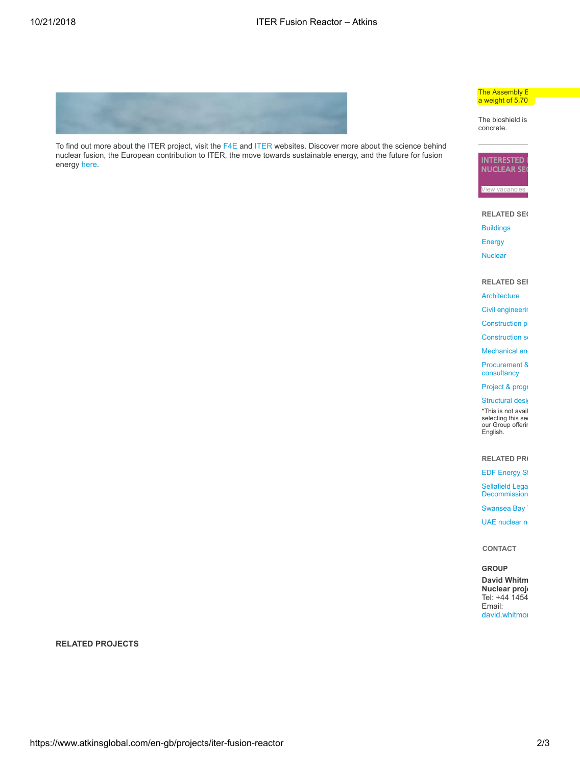

To find out more about the ITER project, visit the [F4E](http://www.fusionforenergy.europa.eu/) and [ITER](http://www.iter.org/) websites. Discover more about the science behind nuclear fusion, the European contribution to ITER, the move towards sustainable energy, and the future for fusion energy [here](http://www.fusionforenergy.europa.eu/mediacorner/factsheets.aspx).

#### The Assembly E  $a$  weight of 5,70

The bioshield is concrete.



**RELATED SEC** 

- [Buildings](https://www.atkinsglobal.com/group/sectors-and-services/sectors/buildings)
- [Energy](https://www.atkinsglobal.com/group/sectors-and-services/sectors/energy)
- **[Nuclear](https://www.atkinsglobal.com/group/sectors-and-services/sectors/energy/nuclear)**

#### **RELATED SER**

- **[Architecture](https://www.atkinsglobal.com/en-GB/group/sectors-and-services/services/architecture)**
- Civil [engineerin](https://www.atkinsglobal.com/en-GB/group/sectors-and-services/services/civil-engineering)
- [Construction](https://www.atkinsglobal.com/en-GB/group/sectors-and-services/services/construction-planning) pl
- [Construction](https://www.atkinsglobal.com/en-GB/group/sectors-and-services/services/construction-services) se
- [Mechanical](https://www.atkinsglobal.com/en-GB/group/sectors-and-services/services/mechanical-engineering) en
- [Procurement](https://www.atkinsglobal.com/en-GB/group/sectors-and-services/services/procurement-and-supply-chain-consultancy) 8 consultancy
- [Project](https://www.atkinsglobal.com/en-GB/group/sectors-and-services/services/project-and-programme-management) & progr
- [Structural](https://www.atkinsglobal.com/en-GB/group/sectors-and-services/services/structural-design-and-assessments) design

\*This is not avail selecting this sector your Group offering which is only available in the control of the control in the control o English.

### RELATED PR

**EDF [Energy](https://www.atkinsglobal.com/en-GB/projects/edf-energy-tsa) Strategic Partnership** 

Sellafield Lega [Decommission](https://www.atkinsglobal.com/en-GB/projects/sellafield-legacy-ponds-decommissioning)

[Swansea](https://www.atkinsglobal.com/en-GB/projects/swansea-bay-tidal-lagoon) Bay

UAE [nuclear](https://www.atkinsglobal.com/en-GB/projects/uae-nuclear-new-build-programme) new

CONTACT

# GROUP

David Whitm Nuclear proje Tel: +44 1454 Email: [david.whitmor](mailto:david.whitmore@atkinsglobal.com)

RELATED PROJECTS